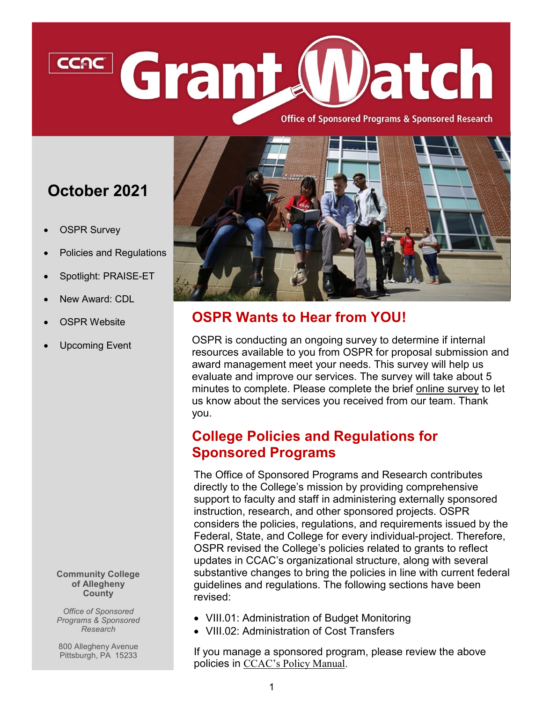# Grant **Datch** CCAC

**Office of Sponsored Programs & Sponsored Research** 

## **October 2021**

- **OSPR Survey**
- Policies and Regulations
- Spotlight: PRAISE-ET
- New Award: CDL
- **OSPR Website**
- Upcoming Event

**Community College of Allegheny County**

*Office of Sponsored Programs & Sponsored Research*

800 Allegheny Avenue Pittsburgh, PA 15233



### **OSPR Wants to Hear from YOU!**

OSPR is conducting an ongoing survey to determine if internal resources available to you from OSPR for proposal submission and award management meet your needs. This survey will help us evaluate and improve our services. The survey will take about 5 minutes to complete. Please complete the brief [online survey](https://www.surveymonkey.com/r/3SR2QCF) to let us know about the services you received from our team. Thank you.

#### **College Policies and Regulations for Sponsored Programs**

The Office of Sponsored Programs and Research contributes directly to the College's mission by providing comprehensive support to faculty and staff in administering externally sponsored instruction, research, and other sponsored projects. OSPR considers the policies, regulations, and requirements issued by the Federal, State, and College for every individual-project. Therefore, OSPR revised the College's policies related to grants to reflect updates in CCAC's organizational structure, along with several substantive changes to bring the policies in line with current federal guidelines and regulations. The following sections have been revised:

- VIII.01: Administration of Budget Monitoring
- VIII.02: Administration of Cost Transfers

If you manage a sponsored program, please review the above policies in [CCAC's Policy Manual.](https://www.ccac.edu/president/_files_president/board-policy-manual-09-02-21.pdf)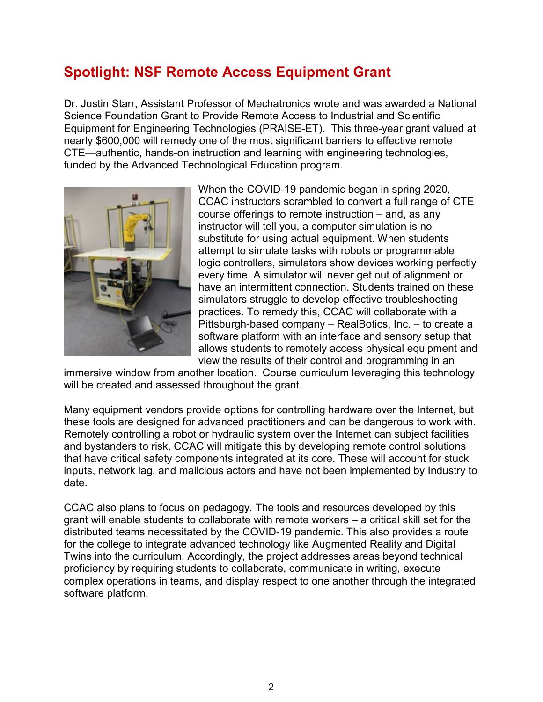#### **Spotlight: NSF Remote Access Equipment Grant**

Dr. Justin Starr, Assistant Professor of Mechatronics wrote and was awarded a National Science Foundation Grant to Provide Remote Access to Industrial and Scientific Equipment for Engineering Technologies (PRAISE-ET). This three-year grant valued at nearly \$600,000 will remedy one of the most significant barriers to effective remote CTE—authentic, hands-on instruction and learning with engineering technologies, funded by the Advanced Technological Education program.



When the COVID-19 pandemic began in spring 2020, CCAC instructors scrambled to convert a full range of CTE course offerings to remote instruction – and, as any instructor will tell you, a computer simulation is no substitute for using actual equipment. When students attempt to simulate tasks with robots or programmable logic controllers, simulators show devices working perfectly every time. A simulator will never get out of alignment or have an intermittent connection. Students trained on these simulators struggle to develop effective troubleshooting practices. To remedy this, CCAC will collaborate with a Pittsburgh-based company – RealBotics, Inc. – to create a software platform with an interface and sensory setup that allows students to remotely access physical equipment and view the results of their control and programming in an

immersive window from another location. Course curriculum leveraging this technology will be created and assessed throughout the grant.

Many equipment vendors provide options for controlling hardware over the Internet, but these tools are designed for advanced practitioners and can be dangerous to work with. Remotely controlling a robot or hydraulic system over the Internet can subject facilities and bystanders to risk. CCAC will mitigate this by developing remote control solutions that have critical safety components integrated at its core. These will account for stuck inputs, network lag, and malicious actors and have not been implemented by Industry to date.

CCAC also plans to focus on pedagogy. The tools and resources developed by this grant will enable students to collaborate with remote workers – a critical skill set for the distributed teams necessitated by the COVID-19 pandemic. This also provides a route for the college to integrate advanced technology like Augmented Reality and Digital Twins into the curriculum. Accordingly, the project addresses areas beyond technical proficiency by requiring students to collaborate, communicate in writing, execute complex operations in teams, and display respect to one another through the integrated software platform.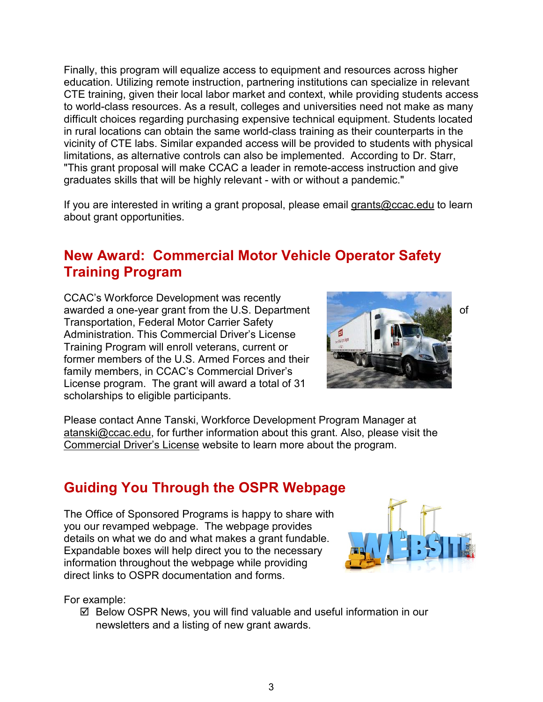Finally, this program will equalize access to equipment and resources across higher education. Utilizing remote instruction, partnering institutions can specialize in relevant CTE training, given their local labor market and context, while providing students access to world-class resources. As a result, colleges and universities need not make as many difficult choices regarding purchasing expensive technical equipment. Students located in rural locations can obtain the same world-class training as their counterparts in the vicinity of CTE labs. Similar expanded access will be provided to students with physical limitations, as alternative controls can also be implemented. According to Dr. Starr, "This grant proposal will make CCAC a leader in remote-access instruction and give graduates skills that will be highly relevant - with or without a pandemic."

If you are interested in writing a grant proposal, please email [grants@ccac.edu](mailto:grants@ccac.edu) to learn about grant opportunities.

#### **New Award: Commercial Motor Vehicle Operator Safety Training Program**

CCAC's Workforce Development was recently awarded a one-year grant from the U.S. Department Transportation, Federal Motor Carrier Safety Administration. This Commercial Driver's License Training Program will enroll veterans, current or former members of the U.S. Armed Forces and their family members, in CCAC's Commercial Driver's License program. The grant will award a total of 31 scholarships to eligible participants.



Please contact Anne Tanski, Workforce Development Program Manager at [atanski@ccac.edu,](mailto:atanski@ccac.edu) for further information about this grant. Also, please visit the Commercial [Driver's License](https://ccac.edu/workforce/cdl.php) website to learn more about the program.

#### **Guiding You Through the OSPR Webpage**

The Office of Sponsored Programs is happy to share with you our revamped webpage. The webpage provides details on what we do and what makes a grant fundable. Expandable boxes will help direct you to the necessary information throughout the webpage while providing direct links to OSPR documentation and forms.



For example:

 $\boxtimes$  Below OSPR News, you will find valuable and useful information in our newsletters and a listing of new grant awards.